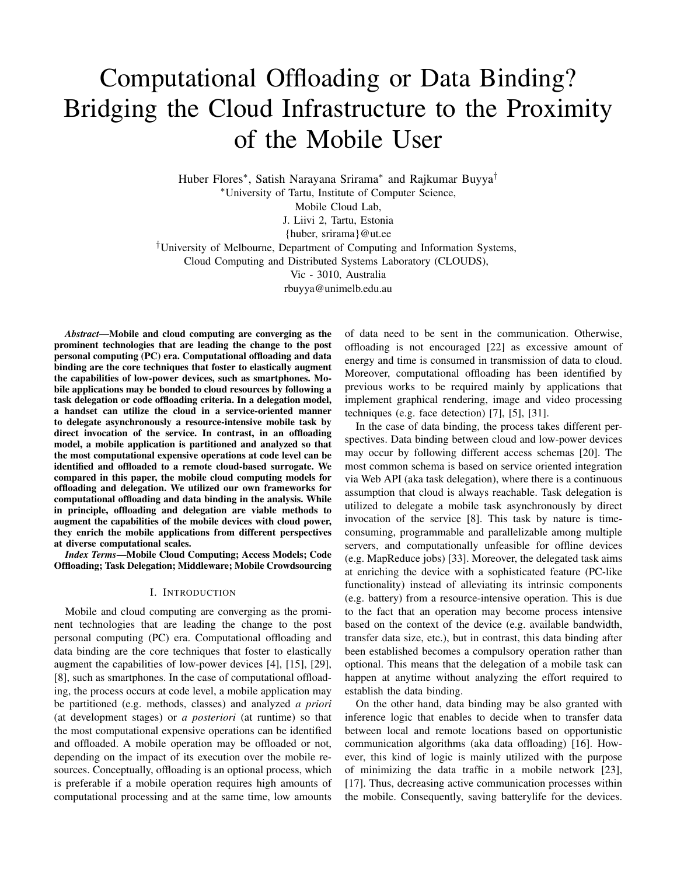# Computational Offloading or Data Binding? Bridging the Cloud Infrastructure to the Proximity of the Mobile User

Huber Flores<sup>∗</sup> , Satish Narayana Srirama<sup>∗</sup> and Rajkumar Buyya†

<sup>∗</sup>University of Tartu, Institute of Computer Science,

Mobile Cloud Lab,

J. Liivi 2, Tartu, Estonia

{huber, srirama}@ut.ee

†University of Melbourne, Department of Computing and Information Systems,

Cloud Computing and Distributed Systems Laboratory (CLOUDS),

Vic - 3010, Australia

rbuyya@unimelb.edu.au

*Abstract*—Mobile and cloud computing are converging as the prominent technologies that are leading the change to the post personal computing (PC) era. Computational offloading and data binding are the core techniques that foster to elastically augment the capabilities of low-power devices, such as smartphones. Mobile applications may be bonded to cloud resources by following a task delegation or code offloading criteria. In a delegation model, a handset can utilize the cloud in a service-oriented manner to delegate asynchronously a resource-intensive mobile task by direct invocation of the service. In contrast, in an offloading model, a mobile application is partitioned and analyzed so that the most computational expensive operations at code level can be identified and offloaded to a remote cloud-based surrogate. We compared in this paper, the mobile cloud computing models for offloading and delegation. We utilized our own frameworks for computational offloading and data binding in the analysis. While in principle, offloading and delegation are viable methods to augment the capabilities of the mobile devices with cloud power, they enrich the mobile applications from different perspectives at diverse computational scales.

*Index Terms*—Mobile Cloud Computing; Access Models; Code Offloading; Task Delegation; Middleware; Mobile Crowdsourcing

## I. INTRODUCTION

Mobile and cloud computing are converging as the prominent technologies that are leading the change to the post personal computing (PC) era. Computational offloading and data binding are the core techniques that foster to elastically augment the capabilities of low-power devices [4], [15], [29], [8], such as smartphones. In the case of computational offloading, the process occurs at code level, a mobile application may be partitioned (e.g. methods, classes) and analyzed *a priori* (at development stages) or *a posteriori* (at runtime) so that the most computational expensive operations can be identified and offloaded. A mobile operation may be offloaded or not, depending on the impact of its execution over the mobile resources. Conceptually, offloading is an optional process, which is preferable if a mobile operation requires high amounts of computational processing and at the same time, low amounts

of data need to be sent in the communication. Otherwise, offloading is not encouraged [22] as excessive amount of energy and time is consumed in transmission of data to cloud. Moreover, computational offloading has been identified by previous works to be required mainly by applications that implement graphical rendering, image and video processing techniques (e.g. face detection) [7], [5], [31].

In the case of data binding, the process takes different perspectives. Data binding between cloud and low-power devices may occur by following different access schemas [20]. The most common schema is based on service oriented integration via Web API (aka task delegation), where there is a continuous assumption that cloud is always reachable. Task delegation is utilized to delegate a mobile task asynchronously by direct invocation of the service [8]. This task by nature is timeconsuming, programmable and parallelizable among multiple servers, and computationally unfeasible for offline devices (e.g. MapReduce jobs) [33]. Moreover, the delegated task aims at enriching the device with a sophisticated feature (PC-like functionality) instead of alleviating its intrinsic components (e.g. battery) from a resource-intensive operation. This is due to the fact that an operation may become process intensive based on the context of the device (e.g. available bandwidth, transfer data size, etc.), but in contrast, this data binding after been established becomes a compulsory operation rather than optional. This means that the delegation of a mobile task can happen at anytime without analyzing the effort required to establish the data binding.

On the other hand, data binding may be also granted with inference logic that enables to decide when to transfer data between local and remote locations based on opportunistic communication algorithms (aka data offloading) [16]. However, this kind of logic is mainly utilized with the purpose of minimizing the data traffic in a mobile network [23], [17]. Thus, decreasing active communication processes within the mobile. Consequently, saving batterylife for the devices.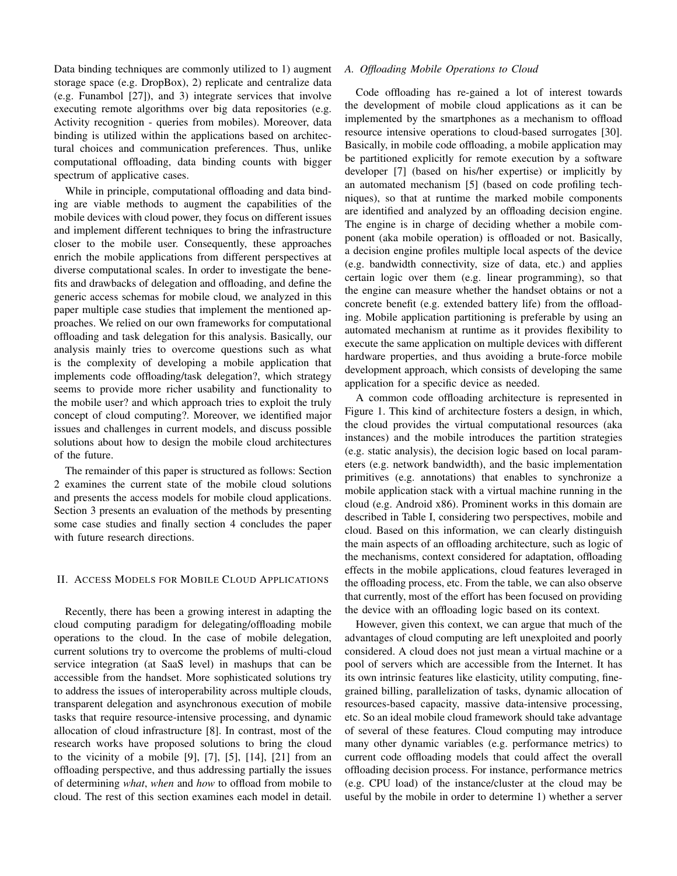Data binding techniques are commonly utilized to 1) augment storage space (e.g. DropBox), 2) replicate and centralize data (e.g. Funambol [27]), and 3) integrate services that involve executing remote algorithms over big data repositories (e.g. Activity recognition - queries from mobiles). Moreover, data binding is utilized within the applications based on architectural choices and communication preferences. Thus, unlike computational offloading, data binding counts with bigger spectrum of applicative cases.

While in principle, computational offloading and data binding are viable methods to augment the capabilities of the mobile devices with cloud power, they focus on different issues and implement different techniques to bring the infrastructure closer to the mobile user. Consequently, these approaches enrich the mobile applications from different perspectives at diverse computational scales. In order to investigate the benefits and drawbacks of delegation and offloading, and define the generic access schemas for mobile cloud, we analyzed in this paper multiple case studies that implement the mentioned approaches. We relied on our own frameworks for computational offloading and task delegation for this analysis. Basically, our analysis mainly tries to overcome questions such as what is the complexity of developing a mobile application that implements code offloading/task delegation?, which strategy seems to provide more richer usability and functionality to the mobile user? and which approach tries to exploit the truly concept of cloud computing?. Moreover, we identified major issues and challenges in current models, and discuss possible solutions about how to design the mobile cloud architectures of the future.

The remainder of this paper is structured as follows: Section 2 examines the current state of the mobile cloud solutions and presents the access models for mobile cloud applications. Section 3 presents an evaluation of the methods by presenting some case studies and finally section 4 concludes the paper with future research directions.

## II. ACCESS MODELS FOR MOBILE CLOUD APPLICATIONS

Recently, there has been a growing interest in adapting the cloud computing paradigm for delegating/offloading mobile operations to the cloud. In the case of mobile delegation, current solutions try to overcome the problems of multi-cloud service integration (at SaaS level) in mashups that can be accessible from the handset. More sophisticated solutions try to address the issues of interoperability across multiple clouds, transparent delegation and asynchronous execution of mobile tasks that require resource-intensive processing, and dynamic allocation of cloud infrastructure [8]. In contrast, most of the research works have proposed solutions to bring the cloud to the vicinity of a mobile  $[9]$ ,  $[7]$ ,  $[5]$ ,  $[14]$ ,  $[21]$  from an offloading perspective, and thus addressing partially the issues of determining *what*, *when* and *how* to offload from mobile to cloud. The rest of this section examines each model in detail.

## *A. Offloading Mobile Operations to Cloud*

Code offloading has re-gained a lot of interest towards the development of mobile cloud applications as it can be implemented by the smartphones as a mechanism to offload resource intensive operations to cloud-based surrogates [30]. Basically, in mobile code offloading, a mobile application may be partitioned explicitly for remote execution by a software developer [7] (based on his/her expertise) or implicitly by an automated mechanism [5] (based on code profiling techniques), so that at runtime the marked mobile components are identified and analyzed by an offloading decision engine. The engine is in charge of deciding whether a mobile component (aka mobile operation) is offloaded or not. Basically, a decision engine profiles multiple local aspects of the device (e.g. bandwidth connectivity, size of data, etc.) and applies certain logic over them (e.g. linear programming), so that the engine can measure whether the handset obtains or not a concrete benefit (e.g. extended battery life) from the offloading. Mobile application partitioning is preferable by using an automated mechanism at runtime as it provides flexibility to execute the same application on multiple devices with different hardware properties, and thus avoiding a brute-force mobile development approach, which consists of developing the same application for a specific device as needed.

A common code offloading architecture is represented in Figure 1. This kind of architecture fosters a design, in which, the cloud provides the virtual computational resources (aka instances) and the mobile introduces the partition strategies (e.g. static analysis), the decision logic based on local parameters (e.g. network bandwidth), and the basic implementation primitives (e.g. annotations) that enables to synchronize a mobile application stack with a virtual machine running in the cloud (e.g. Android x86). Prominent works in this domain are described in Table I, considering two perspectives, mobile and cloud. Based on this information, we can clearly distinguish the main aspects of an offloading architecture, such as logic of the mechanisms, context considered for adaptation, offloading effects in the mobile applications, cloud features leveraged in the offloading process, etc. From the table, we can also observe that currently, most of the effort has been focused on providing the device with an offloading logic based on its context.

However, given this context, we can argue that much of the advantages of cloud computing are left unexploited and poorly considered. A cloud does not just mean a virtual machine or a pool of servers which are accessible from the Internet. It has its own intrinsic features like elasticity, utility computing, finegrained billing, parallelization of tasks, dynamic allocation of resources-based capacity, massive data-intensive processing, etc. So an ideal mobile cloud framework should take advantage of several of these features. Cloud computing may introduce many other dynamic variables (e.g. performance metrics) to current code offloading models that could affect the overall offloading decision process. For instance, performance metrics (e.g. CPU load) of the instance/cluster at the cloud may be useful by the mobile in order to determine 1) whether a server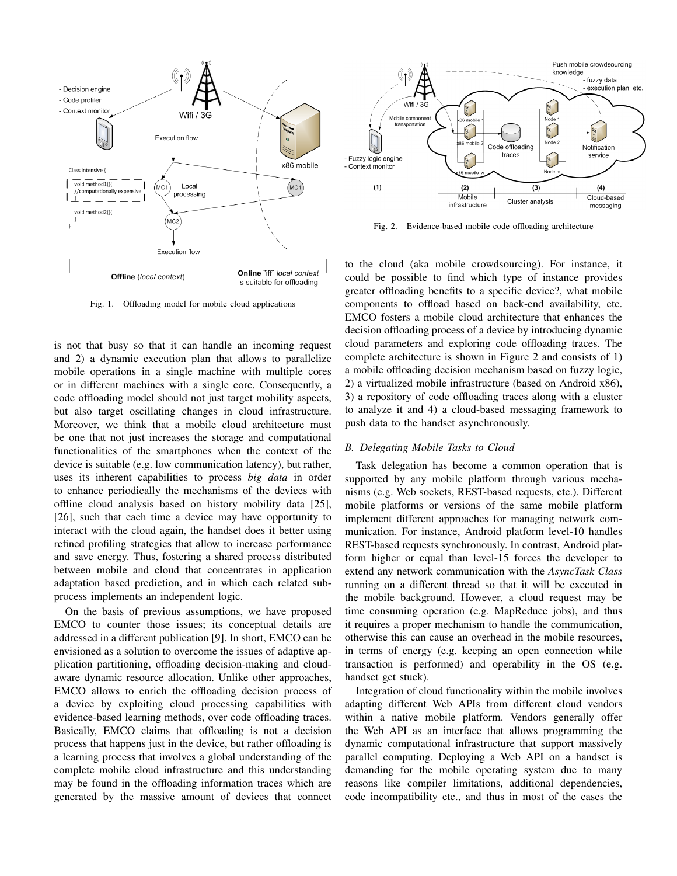

Fig. 1. Offloading model for mobile cloud applications

is not that busy so that it can handle an incoming request and 2) a dynamic execution plan that allows to parallelize mobile operations in a single machine with multiple cores or in different machines with a single core. Consequently, a code offloading model should not just target mobility aspects, but also target oscillating changes in cloud infrastructure. Moreover, we think that a mobile cloud architecture must be one that not just increases the storage and computational functionalities of the smartphones when the context of the device is suitable (e.g. low communication latency), but rather, uses its inherent capabilities to process *big data* in order to enhance periodically the mechanisms of the devices with offline cloud analysis based on history mobility data [25], [26], such that each time a device may have opportunity to interact with the cloud again, the handset does it better using refined profiling strategies that allow to increase performance and save energy. Thus, fostering a shared process distributed between mobile and cloud that concentrates in application adaptation based prediction, and in which each related subprocess implements an independent logic.

On the basis of previous assumptions, we have proposed EMCO to counter those issues; its conceptual details are addressed in a different publication [9]. In short, EMCO can be envisioned as a solution to overcome the issues of adaptive application partitioning, offloading decision-making and cloudaware dynamic resource allocation. Unlike other approaches, EMCO allows to enrich the offloading decision process of a device by exploiting cloud processing capabilities with evidence-based learning methods, over code offloading traces. Basically, EMCO claims that offloading is not a decision process that happens just in the device, but rather offloading is a learning process that involves a global understanding of the complete mobile cloud infrastructure and this understanding may be found in the offloading information traces which are generated by the massive amount of devices that connect



Fig. 2. Evidence-based mobile code offloading architecture

to the cloud (aka mobile crowdsourcing). For instance, it could be possible to find which type of instance provides greater offloading benefits to a specific device?, what mobile components to offload based on back-end availability, etc. EMCO fosters a mobile cloud architecture that enhances the decision offloading process of a device by introducing dynamic cloud parameters and exploring code offloading traces. The complete architecture is shown in Figure 2 and consists of 1) a mobile offloading decision mechanism based on fuzzy logic, 2) a virtualized mobile infrastructure (based on Android x86), 3) a repository of code offloading traces along with a cluster to analyze it and 4) a cloud-based messaging framework to push data to the handset asynchronously.

#### *B. Delegating Mobile Tasks to Cloud*

Task delegation has become a common operation that is supported by any mobile platform through various mechanisms (e.g. Web sockets, REST-based requests, etc.). Different mobile platforms or versions of the same mobile platform implement different approaches for managing network communication. For instance, Android platform level-10 handles REST-based requests synchronously. In contrast, Android platform higher or equal than level-15 forces the developer to extend any network communication with the *AsyncTask Class* running on a different thread so that it will be executed in the mobile background. However, a cloud request may be time consuming operation (e.g. MapReduce jobs), and thus it requires a proper mechanism to handle the communication, otherwise this can cause an overhead in the mobile resources, in terms of energy (e.g. keeping an open connection while transaction is performed) and operability in the OS (e.g. handset get stuck).

Integration of cloud functionality within the mobile involves adapting different Web APIs from different cloud vendors within a native mobile platform. Vendors generally offer the Web API as an interface that allows programming the dynamic computational infrastructure that support massively parallel computing. Deploying a Web API on a handset is demanding for the mobile operating system due to many reasons like compiler limitations, additional dependencies, code incompatibility etc., and thus in most of the cases the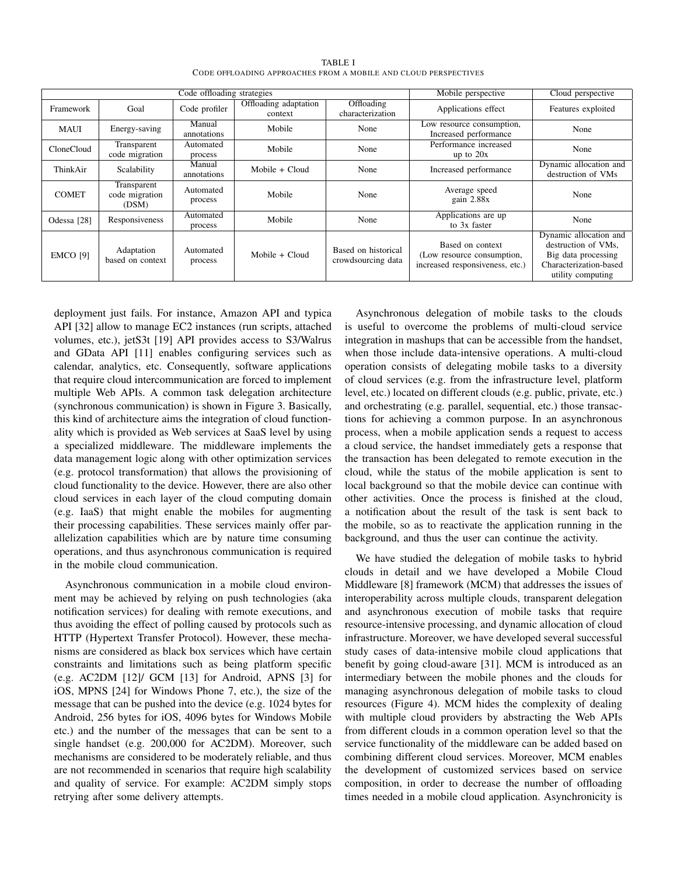| TABLE I                                                         |  |  |  |  |  |  |
|-----------------------------------------------------------------|--|--|--|--|--|--|
| CODE OFFLOADING APPROACHES FROM A MOBILE AND CLOUD PERSPECTIVES |  |  |  |  |  |  |

| Code offloading strategies |                                        |                       | Mobile perspective               | Cloud perspective                         |                                                                                   |                                                                                                                     |
|----------------------------|----------------------------------------|-----------------------|----------------------------------|-------------------------------------------|-----------------------------------------------------------------------------------|---------------------------------------------------------------------------------------------------------------------|
| Framework                  | Goal                                   | Code profiler         | Offloading adaptation<br>context | Offloading<br>characterization            | Applications effect                                                               | Features exploited                                                                                                  |
| <b>MAUI</b>                | Energy-saving                          | Manual<br>annotations | Mobile                           | None                                      | Low resource consumption,<br>Increased performance                                | None                                                                                                                |
| CloneCloud                 | Transparent<br>code migration          | Automated<br>process  | Mobile                           | None                                      | Performance increased<br>up to $20x$                                              | None                                                                                                                |
| ThinkAir                   | Scalability                            | Manual<br>annotations | Mobile $+$ Cloud                 | None                                      | Increased performance                                                             | Dynamic allocation and<br>destruction of VMs                                                                        |
| <b>COMET</b>               | Transparent<br>code migration<br>(DSM) | Automated<br>process  | Mobile                           | None                                      | Average speed<br>gain $2.88x$                                                     | None                                                                                                                |
| Odessa [28]                | Responsiveness                         | Automated<br>process  | Mobile                           | None                                      | Applications are up<br>to 3x faster                                               | None                                                                                                                |
| <b>EMCO</b> [9]            | Adaptation<br>based on context         | Automated<br>process  | Mobile $+$ Cloud                 | Based on historical<br>crowdsourcing data | Based on context<br>(Low resource consumption,<br>increased responsiveness, etc.) | Dynamic allocation and<br>destruction of VMs,<br>Big data processing<br>Characterization-based<br>utility computing |

deployment just fails. For instance, Amazon API and typica API [32] allow to manage EC2 instances (run scripts, attached volumes, etc.), jetS3t [19] API provides access to S3/Walrus and GData API [11] enables configuring services such as calendar, analytics, etc. Consequently, software applications that require cloud intercommunication are forced to implement multiple Web APIs. A common task delegation architecture (synchronous communication) is shown in Figure 3. Basically, this kind of architecture aims the integration of cloud functionality which is provided as Web services at SaaS level by using a specialized middleware. The middleware implements the data management logic along with other optimization services (e.g. protocol transformation) that allows the provisioning of cloud functionality to the device. However, there are also other cloud services in each layer of the cloud computing domain (e.g. IaaS) that might enable the mobiles for augmenting their processing capabilities. These services mainly offer parallelization capabilities which are by nature time consuming operations, and thus asynchronous communication is required in the mobile cloud communication.

Asynchronous communication in a mobile cloud environment may be achieved by relying on push technologies (aka notification services) for dealing with remote executions, and thus avoiding the effect of polling caused by protocols such as HTTP (Hypertext Transfer Protocol). However, these mechanisms are considered as black box services which have certain constraints and limitations such as being platform specific (e.g. AC2DM [12]/ GCM [13] for Android, APNS [3] for iOS, MPNS [24] for Windows Phone 7, etc.), the size of the message that can be pushed into the device (e.g. 1024 bytes for Android, 256 bytes for iOS, 4096 bytes for Windows Mobile etc.) and the number of the messages that can be sent to a single handset (e.g. 200,000 for AC2DM). Moreover, such mechanisms are considered to be moderately reliable, and thus are not recommended in scenarios that require high scalability and quality of service. For example: AC2DM simply stops retrying after some delivery attempts.

Asynchronous delegation of mobile tasks to the clouds is useful to overcome the problems of multi-cloud service integration in mashups that can be accessible from the handset, when those include data-intensive operations. A multi-cloud operation consists of delegating mobile tasks to a diversity of cloud services (e.g. from the infrastructure level, platform level, etc.) located on different clouds (e.g. public, private, etc.) and orchestrating (e.g. parallel, sequential, etc.) those transactions for achieving a common purpose. In an asynchronous process, when a mobile application sends a request to access a cloud service, the handset immediately gets a response that the transaction has been delegated to remote execution in the cloud, while the status of the mobile application is sent to local background so that the mobile device can continue with other activities. Once the process is finished at the cloud, a notification about the result of the task is sent back to the mobile, so as to reactivate the application running in the background, and thus the user can continue the activity.

We have studied the delegation of mobile tasks to hybrid clouds in detail and we have developed a Mobile Cloud Middleware [8] framework (MCM) that addresses the issues of interoperability across multiple clouds, transparent delegation and asynchronous execution of mobile tasks that require resource-intensive processing, and dynamic allocation of cloud infrastructure. Moreover, we have developed several successful study cases of data-intensive mobile cloud applications that benefit by going cloud-aware [31]. MCM is introduced as an intermediary between the mobile phones and the clouds for managing asynchronous delegation of mobile tasks to cloud resources (Figure 4). MCM hides the complexity of dealing with multiple cloud providers by abstracting the Web APIs from different clouds in a common operation level so that the service functionality of the middleware can be added based on combining different cloud services. Moreover, MCM enables the development of customized services based on service composition, in order to decrease the number of offloading times needed in a mobile cloud application. Asynchronicity is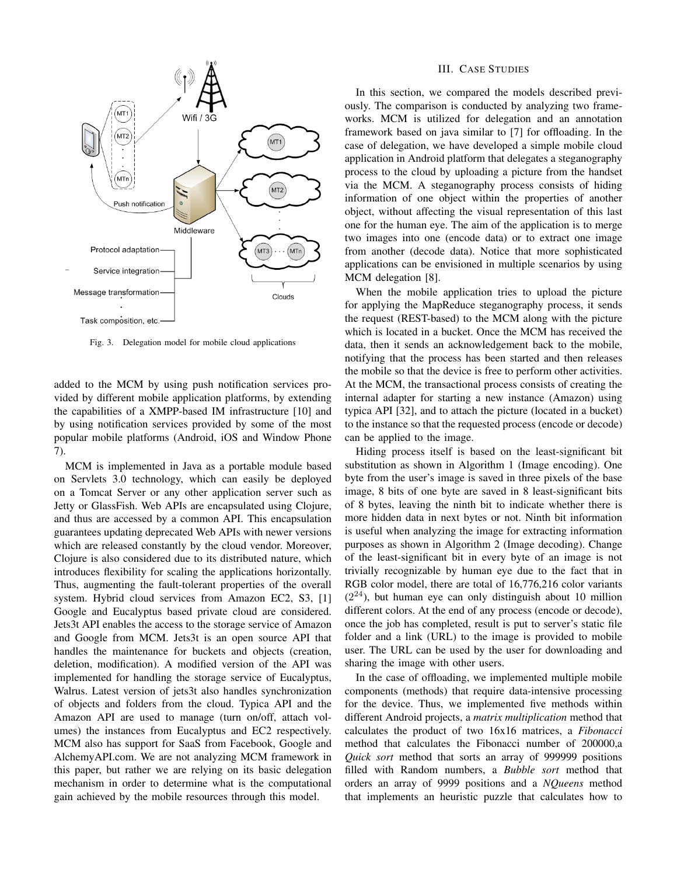

Fig. 3. Delegation model for mobile cloud applications

added to the MCM by using push notification services provided by different mobile application platforms, by extending the capabilities of a XMPP-based IM infrastructure [10] and by using notification services provided by some of the most popular mobile platforms (Android, iOS and Window Phone 7).

MCM is implemented in Java as a portable module based on Servlets 3.0 technology, which can easily be deployed on a Tomcat Server or any other application server such as Jetty or GlassFish. Web APIs are encapsulated using Clojure, and thus are accessed by a common API. This encapsulation guarantees updating deprecated Web APIs with newer versions which are released constantly by the cloud vendor. Moreover, Clojure is also considered due to its distributed nature, which introduces flexibility for scaling the applications horizontally. Thus, augmenting the fault-tolerant properties of the overall system. Hybrid cloud services from Amazon EC2, S3, [1] Google and Eucalyptus based private cloud are considered. Jets3t API enables the access to the storage service of Amazon and Google from MCM. Jets3t is an open source API that handles the maintenance for buckets and objects (creation, deletion, modification). A modified version of the API was implemented for handling the storage service of Eucalyptus, Walrus. Latest version of jets3t also handles synchronization of objects and folders from the cloud. Typica API and the Amazon API are used to manage (turn on/off, attach volumes) the instances from Eucalyptus and EC2 respectively. MCM also has support for SaaS from Facebook, Google and AlchemyAPI.com. We are not analyzing MCM framework in this paper, but rather we are relying on its basic delegation mechanism in order to determine what is the computational gain achieved by the mobile resources through this model.

#### III. CASE STUDIES

In this section, we compared the models described previously. The comparison is conducted by analyzing two frameworks. MCM is utilized for delegation and an annotation framework based on java similar to [7] for offloading. In the case of delegation, we have developed a simple mobile cloud application in Android platform that delegates a steganography process to the cloud by uploading a picture from the handset via the MCM. A steganography process consists of hiding information of one object within the properties of another object, without affecting the visual representation of this last one for the human eye. The aim of the application is to merge two images into one (encode data) or to extract one image from another (decode data). Notice that more sophisticated applications can be envisioned in multiple scenarios by using MCM delegation [8].

When the mobile application tries to upload the picture for applying the MapReduce steganography process, it sends the request (REST-based) to the MCM along with the picture which is located in a bucket. Once the MCM has received the data, then it sends an acknowledgement back to the mobile, notifying that the process has been started and then releases the mobile so that the device is free to perform other activities. At the MCM, the transactional process consists of creating the internal adapter for starting a new instance (Amazon) using typica API [32], and to attach the picture (located in a bucket) to the instance so that the requested process (encode or decode) can be applied to the image.

Hiding process itself is based on the least-significant bit substitution as shown in Algorithm 1 (Image encoding). One byte from the user's image is saved in three pixels of the base image, 8 bits of one byte are saved in 8 least-significant bits of 8 bytes, leaving the ninth bit to indicate whether there is more hidden data in next bytes or not. Ninth bit information is useful when analyzing the image for extracting information purposes as shown in Algorithm 2 (Image decoding). Change of the least-significant bit in every byte of an image is not trivially recognizable by human eye due to the fact that in RGB color model, there are total of 16,776,216 color variants  $(2^{24})$ , but human eye can only distinguish about 10 million different colors. At the end of any process (encode or decode), once the job has completed, result is put to server's static file folder and a link (URL) to the image is provided to mobile user. The URL can be used by the user for downloading and sharing the image with other users.

In the case of offloading, we implemented multiple mobile components (methods) that require data-intensive processing for the device. Thus, we implemented five methods within different Android projects, a *matrix multiplication* method that calculates the product of two 16x16 matrices, a *Fibonacci* method that calculates the Fibonacci number of 200000,a *Quick sort* method that sorts an array of 999999 positions filled with Random numbers, a *Bubble sort* method that orders an array of 9999 positions and a *NQueens* method that implements an heuristic puzzle that calculates how to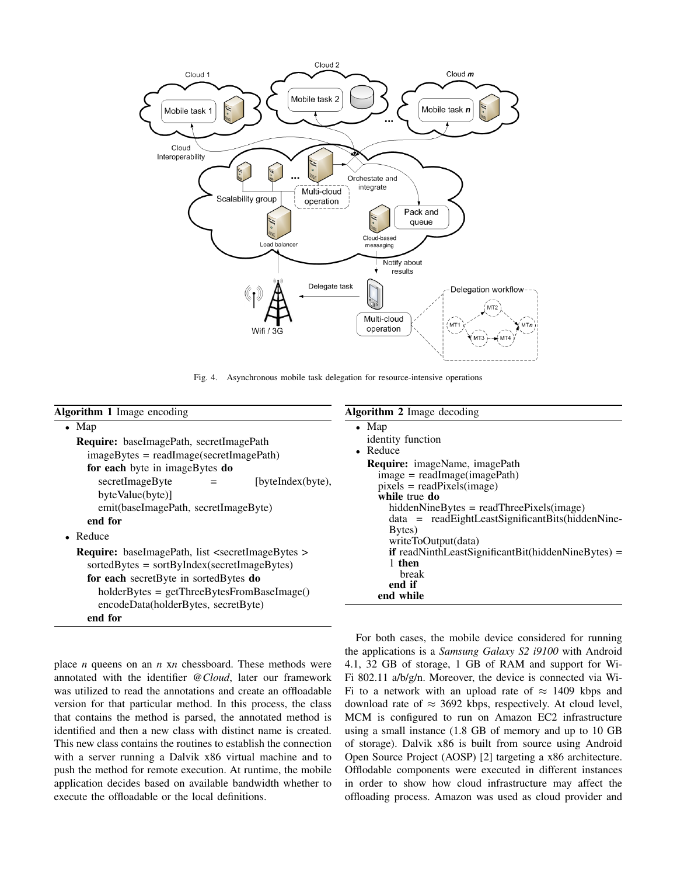

Fig. 4. Asynchronous mobile task delegation for resource-intensive operations

| <b>Algorithm 1</b> Image encoding                                         |                   |
|---------------------------------------------------------------------------|-------------------|
| • Map                                                                     |                   |
| <b>Require:</b> baseImagePath, secretImagePath                            |                   |
| $imageBytes = readImage(secretImagePath)$                                 |                   |
| for each byte in imageBytes do                                            |                   |
| secretImageByte                                                           | [byteIndex(byte), |
| byteValue(byte)]                                                          |                   |
| emit(baseImagePath, secretImageByte)                                      |                   |
| end for                                                                   |                   |
| $\bullet$ Reduce                                                          |                   |
| <b>Require:</b> baseImagePath, list <secretimagebytes></secretimagebytes> |                   |
| $sortedBytes = sortByIndex(secretImageBytes)$                             |                   |
| for each secret Byte in sorted Bytes do                                   |                   |
| $holderBytes = getThreeBytesFromBaseImage()$                              |                   |
| encodeData(holderBytes, secretByte)                                       |                   |
| end for                                                                   |                   |
|                                                                           |                   |

place *n* queens on an *n* x*n* chessboard. These methods were annotated with the identifier *@Cloud*, later our framework was utilized to read the annotations and create an offloadable version for that particular method. In this process, the class that contains the method is parsed, the annotated method is identified and then a new class with distinct name is created. This new class contains the routines to establish the connection with a server running a Dalvik x86 virtual machine and to push the method for remote execution. At runtime, the mobile application decides based on available bandwidth whether to execute the offloadable or the local definitions.

| <b>Algorithm 2</b> Image decoding                             |
|---------------------------------------------------------------|
| • Map                                                         |
| identity function                                             |
| $\bullet$ Reduce                                              |
| <b>Require:</b> imageName, imagePath                          |
| $image = readImage(maxgePath)$                                |
| $pixels = readPixels (image)$                                 |
| while true do                                                 |
| $hidden NineBytes = readThreepixels (image)$                  |
| $data = readEightLeastSignificantBits(hiddenNine-$            |
| Bytes)                                                        |
| writeToOutput(data)                                           |
| $\mathbf{if}$ readNinthLeastSignificantBit(hiddenNineBytes) = |
| 1 then                                                        |
| break                                                         |
| end if                                                        |
| end while                                                     |
|                                                               |

For both cases, the mobile device considered for running the applications is a *Samsung Galaxy S2 i9100* with Android 4.1, 32 GB of storage, 1 GB of RAM and support for Wi-Fi 802.11 a/b/g/n. Moreover, the device is connected via Wi-Fi to a network with an upload rate of  $\approx$  1409 kbps and download rate of  $\approx$  3692 kbps, respectively. At cloud level, MCM is configured to run on Amazon EC2 infrastructure using a small instance (1.8 GB of memory and up to 10 GB of storage). Dalvik x86 is built from source using Android Open Source Project (AOSP) [2] targeting a x86 architecture. Offlodable components were executed in different instances in order to show how cloud infrastructure may affect the offloading process. Amazon was used as cloud provider and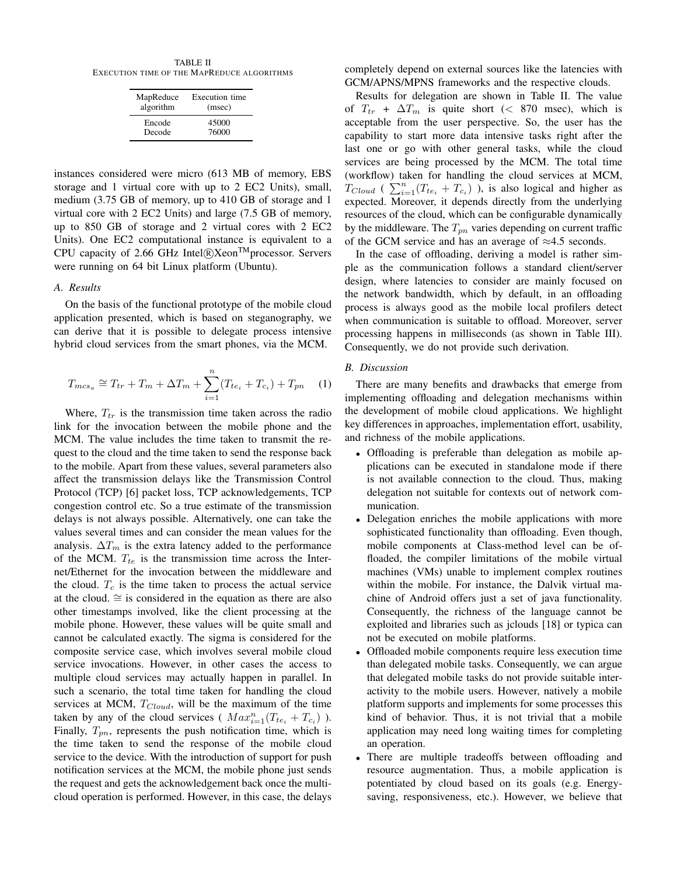TABLE II EXECUTION TIME OF THE MAPREDUCE ALGORITHMS

| MapReduce | <b>Execution</b> time |
|-----------|-----------------------|
| algorithm | (msec)                |
| Encode    | 45000                 |
| Decode    | 76000                 |

instances considered were micro (613 MB of memory, EBS storage and 1 virtual core with up to 2 EC2 Units), small, medium (3.75 GB of memory, up to 410 GB of storage and 1 virtual core with 2 EC2 Units) and large (7.5 GB of memory, up to 850 GB of storage and 2 virtual cores with 2 EC2 Units). One EC2 computational instance is equivalent to a CPU capacity of 2.66 GHz Intel $\mathbb{R}X$ eon<sup>TM</sup>processor. Servers were running on 64 bit Linux platform (Ubuntu).

# *A. Results*

On the basis of the functional prototype of the mobile cloud application presented, which is based on steganography, we can derive that it is possible to delegate process intensive hybrid cloud services from the smart phones, via the MCM.

$$
T_{mcs_a} \cong T_{tr} + T_m + \Delta T_m + \sum_{i=1}^n (T_{te_i} + T_{c_i}) + T_{pn} \tag{1}
$$

Where,  $T_{tr}$  is the transmission time taken across the radio link for the invocation between the mobile phone and the MCM. The value includes the time taken to transmit the request to the cloud and the time taken to send the response back to the mobile. Apart from these values, several parameters also affect the transmission delays like the Transmission Control Protocol (TCP) [6] packet loss, TCP acknowledgements, TCP congestion control etc. So a true estimate of the transmission delays is not always possible. Alternatively, one can take the values several times and can consider the mean values for the analysis.  $\Delta T_m$  is the extra latency added to the performance of the MCM.  $T_{te}$  is the transmission time across the Internet/Ethernet for the invocation between the middleware and the cloud.  $T_c$  is the time taken to process the actual service at the cloud.  $\cong$  is considered in the equation as there are also other timestamps involved, like the client processing at the mobile phone. However, these values will be quite small and cannot be calculated exactly. The sigma is considered for the composite service case, which involves several mobile cloud service invocations. However, in other cases the access to multiple cloud services may actually happen in parallel. In such a scenario, the total time taken for handling the cloud services at MCM,  $T_{Cloud}$ , will be the maximum of the time taken by any of the cloud services ( $Max_{i=1}^{n}(T_{te_i} + T_{c_i})$ ). Finally,  $T_{pn}$ , represents the push notification time, which is the time taken to send the response of the mobile cloud service to the device. With the introduction of support for push notification services at the MCM, the mobile phone just sends the request and gets the acknowledgement back once the multicloud operation is performed. However, in this case, the delays completely depend on external sources like the latencies with GCM/APNS/MPNS frameworks and the respective clouds.

Results for delegation are shown in Table II. The value of  $T_{tr}$  +  $\Delta T_m$  is quite short (< 870 msec), which is acceptable from the user perspective. So, the user has the capability to start more data intensive tasks right after the last one or go with other general tasks, while the cloud services are being processed by the MCM. The total time (workflow) taken for handling the cloud services at MCM,  $T_{Cloud}$  (  $\sum_{i=1}^{n} (T_{te_i} + T_{c_i})$  ), is also logical and higher as expected. Moreover, it depends directly from the underlying resources of the cloud, which can be configurable dynamically by the middleware. The  $T_{pn}$  varies depending on current traffic of the GCM service and has an average of  $\approx 4.5$  seconds.

In the case of offloading, deriving a model is rather simple as the communication follows a standard client/server design, where latencies to consider are mainly focused on the network bandwidth, which by default, in an offloading process is always good as the mobile local profilers detect when communication is suitable to offload. Moreover, server processing happens in milliseconds (as shown in Table III). Consequently, we do not provide such derivation.

## *B. Discussion*

There are many benefits and drawbacks that emerge from implementing offloading and delegation mechanisms within the development of mobile cloud applications. We highlight key differences in approaches, implementation effort, usability, and richness of the mobile applications.

- Offloading is preferable than delegation as mobile applications can be executed in standalone mode if there is not available connection to the cloud. Thus, making delegation not suitable for contexts out of network communication.
- Delegation enriches the mobile applications with more sophisticated functionality than offloading. Even though, mobile components at Class-method level can be offloaded, the compiler limitations of the mobile virtual machines (VMs) unable to implement complex routines within the mobile. For instance, the Dalvik virtual machine of Android offers just a set of java functionality. Consequently, the richness of the language cannot be exploited and libraries such as jclouds [18] or typica can not be executed on mobile platforms.
- Offloaded mobile components require less execution time than delegated mobile tasks. Consequently, we can argue that delegated mobile tasks do not provide suitable interactivity to the mobile users. However, natively a mobile platform supports and implements for some processes this kind of behavior. Thus, it is not trivial that a mobile application may need long waiting times for completing an operation.
- There are multiple tradeoffs between offloading and resource augmentation. Thus, a mobile application is potentiated by cloud based on its goals (e.g. Energysaving, responsiveness, etc.). However, we believe that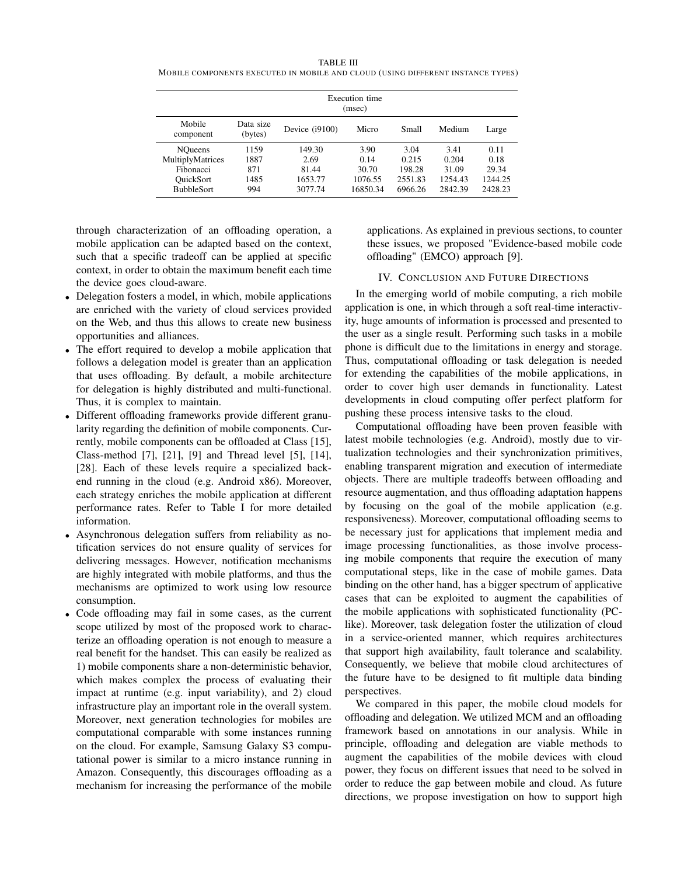TABLE III MOBILE COMPONENTS EXECUTED IN MOBILE AND CLOUD (USING DIFFERENT INSTANCE TYPES)

| Execution time<br>(msec) |                      |                  |          |         |         |         |
|--------------------------|----------------------|------------------|----------|---------|---------|---------|
| Mobile<br>component      | Data size<br>(bytes) | Device $(i9100)$ | Micro    | Small   | Medium  | Large   |
| <b>NOueens</b>           | 1159                 | 149.30           | 3.90     | 3.04    | 3.41    | 0.11    |
| MultiplyMatrices         | 1887                 | 2.69             | 0.14     | 0.215   | 0.204   | 0.18    |
| Fibonacci                | 871                  | 81.44            | 30.70    | 198.28  | 31.09   | 29.34   |
| <b>OuickSort</b>         | 1485                 | 1653.77          | 1076.55  | 2551.83 | 1254.43 | 1244.25 |
| <b>BubbleSort</b>        | 994                  | 3077.74          | 16850.34 | 6966.26 | 2842.39 | 2428.23 |

through characterization of an offloading operation, a mobile application can be adapted based on the context, such that a specific tradeoff can be applied at specific context, in order to obtain the maximum benefit each time the device goes cloud-aware.

- Delegation fosters a model, in which, mobile applications are enriched with the variety of cloud services provided on the Web, and thus this allows to create new business opportunities and alliances.
- The effort required to develop a mobile application that follows a delegation model is greater than an application that uses offloading. By default, a mobile architecture for delegation is highly distributed and multi-functional. Thus, it is complex to maintain.
- Different offloading frameworks provide different granularity regarding the definition of mobile components. Currently, mobile components can be offloaded at Class [15], Class-method [7], [21], [9] and Thread level [5], [14], [28]. Each of these levels require a specialized backend running in the cloud (e.g. Android x86). Moreover, each strategy enriches the mobile application at different performance rates. Refer to Table I for more detailed information.
- Asynchronous delegation suffers from reliability as notification services do not ensure quality of services for delivering messages. However, notification mechanisms are highly integrated with mobile platforms, and thus the mechanisms are optimized to work using low resource consumption.
- Code offloading may fail in some cases, as the current scope utilized by most of the proposed work to characterize an offloading operation is not enough to measure a real benefit for the handset. This can easily be realized as 1) mobile components share a non-deterministic behavior, which makes complex the process of evaluating their impact at runtime (e.g. input variability), and 2) cloud infrastructure play an important role in the overall system. Moreover, next generation technologies for mobiles are computational comparable with some instances running on the cloud. For example, Samsung Galaxy S3 computational power is similar to a micro instance running in Amazon. Consequently, this discourages offloading as a mechanism for increasing the performance of the mobile

applications. As explained in previous sections, to counter these issues, we proposed "Evidence-based mobile code offloading" (EMCO) approach [9].

# IV. CONCLUSION AND FUTURE DIRECTIONS

In the emerging world of mobile computing, a rich mobile application is one, in which through a soft real-time interactivity, huge amounts of information is processed and presented to the user as a single result. Performing such tasks in a mobile phone is difficult due to the limitations in energy and storage. Thus, computational offloading or task delegation is needed for extending the capabilities of the mobile applications, in order to cover high user demands in functionality. Latest developments in cloud computing offer perfect platform for pushing these process intensive tasks to the cloud.

Computational offloading have been proven feasible with latest mobile technologies (e.g. Android), mostly due to virtualization technologies and their synchronization primitives, enabling transparent migration and execution of intermediate objects. There are multiple tradeoffs between offloading and resource augmentation, and thus offloading adaptation happens by focusing on the goal of the mobile application (e.g. responsiveness). Moreover, computational offloading seems to be necessary just for applications that implement media and image processing functionalities, as those involve processing mobile components that require the execution of many computational steps, like in the case of mobile games. Data binding on the other hand, has a bigger spectrum of applicative cases that can be exploited to augment the capabilities of the mobile applications with sophisticated functionality (PClike). Moreover, task delegation foster the utilization of cloud in a service-oriented manner, which requires architectures that support high availability, fault tolerance and scalability. Consequently, we believe that mobile cloud architectures of the future have to be designed to fit multiple data binding perspectives.

We compared in this paper, the mobile cloud models for offloading and delegation. We utilized MCM and an offloading framework based on annotations in our analysis. While in principle, offloading and delegation are viable methods to augment the capabilities of the mobile devices with cloud power, they focus on different issues that need to be solved in order to reduce the gap between mobile and cloud. As future directions, we propose investigation on how to support high